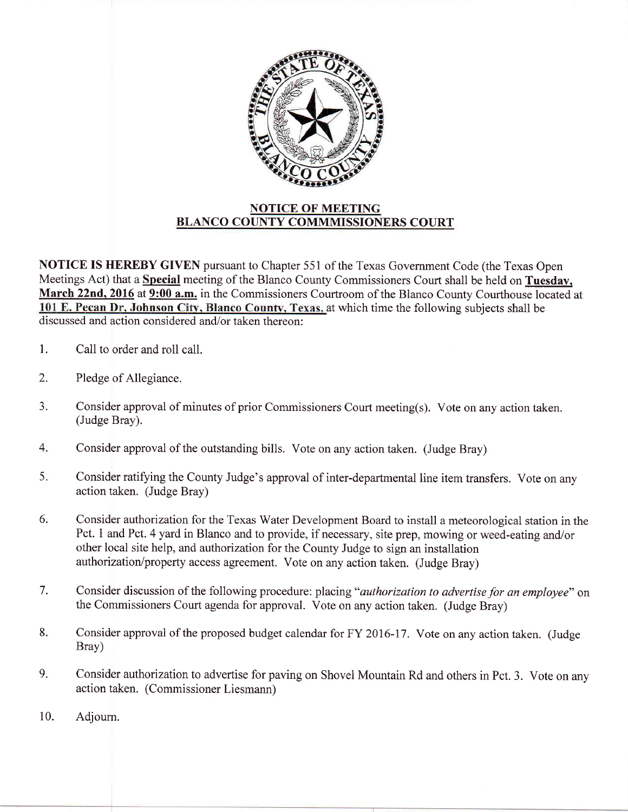

## NOTICE OF MEETING BLANCO COUNTY COMMMISSIONERS COURT

NOTICE IS HEREBY GIVEN pursuant to Chapter 551 of the Texas Government Code (the Texas Open Meetings Act) that a Special meeting of the Blanco County Commissioners Court shall be held on Tuesdav. March 22nd, 2016 at 9:00 a.m. in the Commissioners Courtroom of the Blanco County Courthouse located at 101 E. Pecan Dr, Johnson City, Blanco County, Texas, at which time the following subjects shall be discussed and action considered and/or taken thereon:

- Call to order and roll call. l.
- Pledge of Allegiance. 2.
- Consider approval of minutes of prior Commissioners Court meeting(s). Vote on any action taken. (Judge Bray). 3.
- Consider approval of the outstanding bills. Vote on any action taken. (Judge Bray) 4.
- Consider ratifying the County Judge's approval of inter-departmental line item transfers. Vote on any action taken. (Judge Bray) 5.
- Consider authorization for the Texas Water Development Board to install a meteorological station in the Pct. 1 and Pct. 4 yard in Blanco and to provide, if necessary, site prep, mowing or weed-eating and/or other local site help, and authorization for the County Judge to sign an installation authorization/property access agreement. Vote on any action taken. (Judge Bray) 6.
- Consider discussion of the following procedure: placing "authorization to advertise for an employee" on the Commissioners Court agenda for approval. Vote on any action taken. (Judge Bray) 7.
- Consider approval of the proposed budget calendar for FY 2016-17. Vote on any action taken. (Judge Bray) 8.
- Consider authorization to advertise for paving on Shovel Mountain Rd and others in Pct. 3. Vote on any action taken. (Commissioner Liesmann) 9.
- Adjoum. 10.